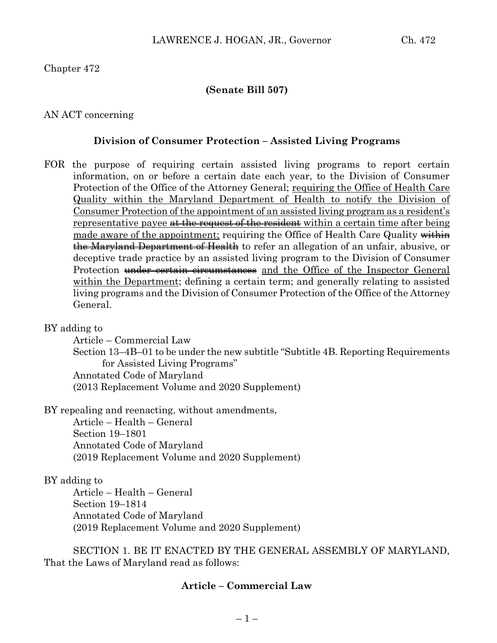### **(Senate Bill 507)**

### AN ACT concerning

#### **Division of Consumer Protection – Assisted Living Programs**

FOR the purpose of requiring certain assisted living programs to report certain information, on or before a certain date each year, to the Division of Consumer Protection of the Office of the Attorney General; requiring the Office of Health Care Quality within the Maryland Department of Health to notify the Division of Consumer Protection of the appointment of an assisted living program as a resident's representative payee at the request of the resident within a certain time after being made aware of the appointment; requiring the Office of Health Care Quality within the Maryland Department of Health to refer an allegation of an unfair, abusive, or deceptive trade practice by an assisted living program to the Division of Consumer Protection under certain circumstances and the Office of the Inspector General within the Department; defining a certain term; and generally relating to assisted living programs and the Division of Consumer Protection of the Office of the Attorney General.

BY adding to

Article – Commercial Law

Section 13–4B–01 to be under the new subtitle "Subtitle 4B. Reporting Requirements for Assisted Living Programs"

Annotated Code of Maryland (2013 Replacement Volume and 2020 Supplement)

BY repealing and reenacting, without amendments,

Article – Health – General Section 19–1801 Annotated Code of Maryland (2019 Replacement Volume and 2020 Supplement)

### BY adding to

Article – Health – General Section 19–1814 Annotated Code of Maryland (2019 Replacement Volume and 2020 Supplement)

SECTION 1. BE IT ENACTED BY THE GENERAL ASSEMBLY OF MARYLAND, That the Laws of Maryland read as follows:

### **Article – Commercial Law**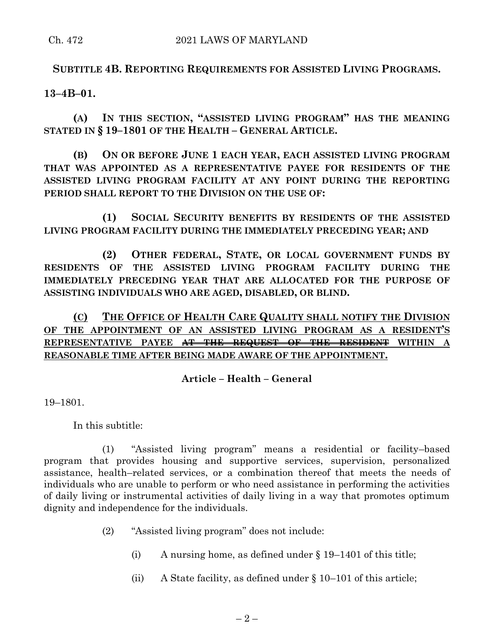# **SUBTITLE 4B. REPORTING REQUIREMENTS FOR ASSISTED LIVING PROGRAMS.**

## **13–4B–01.**

**(A) IN THIS SECTION, "ASSISTED LIVING PROGRAM" HAS THE MEANING STATED IN § 19–1801 OF THE HEALTH – GENERAL ARTICLE.**

**(B) ON OR BEFORE JUNE 1 EACH YEAR, EACH ASSISTED LIVING PROGRAM THAT WAS APPOINTED AS A REPRESENTATIVE PAYEE FOR RESIDENTS OF THE ASSISTED LIVING PROGRAM FACILITY AT ANY POINT DURING THE REPORTING PERIOD SHALL REPORT TO THE DIVISION ON THE USE OF:**

**(1) SOCIAL SECURITY BENEFITS BY RESIDENTS OF THE ASSISTED LIVING PROGRAM FACILITY DURING THE IMMEDIATELY PRECEDING YEAR; AND**

**(2) OTHER FEDERAL, STATE, OR LOCAL GOVERNMENT FUNDS BY RESIDENTS OF THE ASSISTED LIVING PROGRAM FACILITY DURING THE IMMEDIATELY PRECEDING YEAR THAT ARE ALLOCATED FOR THE PURPOSE OF ASSISTING INDIVIDUALS WHO ARE AGED, DISABLED, OR BLIND.**

**(C) THE OFFICE OF HEALTH CARE QUALITY SHALL NOTIFY THE DIVISION OF THE APPOINTMENT OF AN ASSISTED LIVING PROGRAM AS A RESIDENT'S REPRESENTATIVE PAYEE AT THE REQUEST OF THE RESIDENT WITHIN A REASONABLE TIME AFTER BEING MADE AWARE OF THE APPOINTMENT.**

## **Article – Health – General**

19–1801.

In this subtitle:

(1) "Assisted living program" means a residential or facility–based program that provides housing and supportive services, supervision, personalized assistance, health–related services, or a combination thereof that meets the needs of individuals who are unable to perform or who need assistance in performing the activities of daily living or instrumental activities of daily living in a way that promotes optimum dignity and independence for the individuals.

- (2) "Assisted living program" does not include:
	- (i) A nursing home, as defined under  $\S 19-1401$  of this title;
	- (ii) A State facility, as defined under § 10–101 of this article;